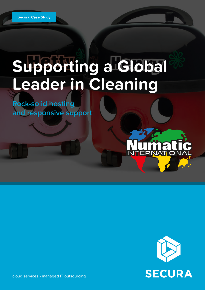# **Supporting a Global Leader in Cleaning**

**Rock-solid hosting and responsive support**





cloud services • managed IT outsourcing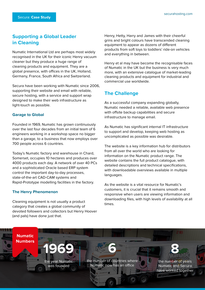# **Supporting a Global Leader in Cleaning**

Numatic International Ltd are perhaps most widely recognised in the UK for their iconic Henry vacuum cleaner but they produce a huge range of cleaning products and equipment. They are a global presence, with offices in the UK, Holland, Germany, France, South Africa and Switzerland.

Secura have been working with Numatic since 2006, supporting their website and email with reliable, secure hosting, with a service and support wrap designed to make their web infrastructure as light-touch as possible.

#### **Garage to Global**

Founded in 1969, Numatic has grown continuously over the last four decades from an initial team of 6 engineers working in a workshop space no bigger than a garage, to a business that now employs over 700 people across 6 countries.

Today's Numatic factory and warehouse in Chard, Somerset, occupies 10 hectares and produces over 4000 products each day. A network of over 40 PCs and a sophisticated Oracle based ERP system control the important day-to-day processes, state-of-the-art CAD-CAM systems and Rapid-Prototype modelling facilities in the factory.

#### **The Henry Phenomenon**

Cleaning equipment is not usually a product category that creates a global community of devoted followers and collectors but Henry Hoover (and pals) have done just that.

Henry, Hetty, Harry and James with their cheerful grins and bright colours have transcended cleaning equipment to appear as dozens of different products from soft toys to toddlers' ride-on vehicles and everything in between.

Henry et al may have become the recognisable faces of Numatic in the UK but the business is very much more, with an extensive catalogue of market-leading cleaning products and equipment for industrial and commercial use worldwide.

## **The Challenge**

As a successful company expanding globally, Numatic needed a reliable, available web presence with offsite backup capabilities and secure infrastructure to manage email.

As Numatic has significant internal IT infrastructure to support and develop, keeping web hosting as uncomplicated as possible was desirable.

The website is a key information hub for distributors from all over the world who are looking for information on the Numatic product range. The website contains the full product catalogue, with detailed descriptions and technical specifications, with downloadable overviews available in multiple languages.

As the website is a vital resource for Numatic's customers, it is crucial that it remains smooth and responsive when users are viewing information and downloading files, with high levels of availability at all times.